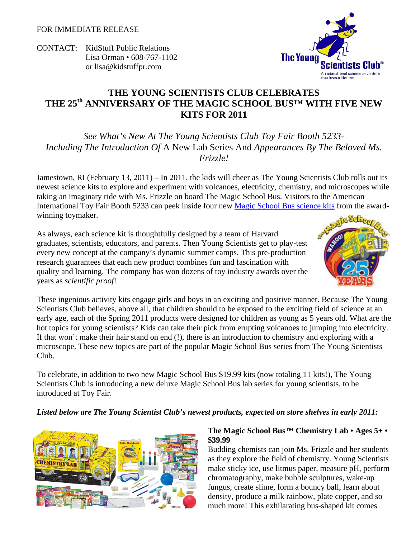CONTACT: KidStuff Public Relations Lisa Orman • 608-767-1102 or lisa@kidstuffpr.com

# **THE YOUNG SCIENTISTS CLUB CELEBRATES THE 25th ANNIVERSARY OF THE MAGIC SCHOOL BUS™ WITH FIVE NEW KITS FOR 2011**

*See What's New At The Young Scientists Club Toy Fair Booth 5233- Including The Introduction Of* A New Lab Series And *Appearances By The Beloved Ms. Frizzle!* 

Jamestown, RI (February 13, 2011) – In 2011, the kids will cheer as The Young Scientists Club rolls out its newest science kits to explore and experiment with volcanoes, electricity, chemistry, and microscopes while taking an imaginary ride with Ms. Frizzle on board The Magic School Bus. Visitors to the American International Toy Fair Booth 5233 can peek inside four new Magic School Bus science kits from the awardwinning toymaker.

As always, each science kit is thoughtfully designed by a team of Harvard graduates, scientists, educators, and parents. Then Young Scientists get to play-test every new concept at the company's dynamic summer camps. This pre-production research guarantees that each new product combines fun and fascination with quality and learning. The company has won dozens of toy industry awards over the years as *scientific proof*!

These ingenious activity kits engage girls and boys in an exciting and positive manner. Because The Young Scientists Club believes, above all, that children should to be exposed to the exciting field of science at an early age, each of the Spring 2011 products were designed for children as young as 5 years old. What are the hot topics for young scientists? Kids can take their pick from erupting volcanoes to jumping into electricity. If that won't make their hair stand on end (!), there is an introduction to chemistry and exploring with a microscope. These new topics are part of the popular Magic School Bus series from The Young Scientists Club.

To celebrate, in addition to two new Magic School Bus \$19.99 kits (now totaling 11 kits!), The Young Scientists Club is introducing a new deluxe Magic School Bus lab series for young scientists, to be introduced at Toy Fair.

#### *Listed below are The Young Scientist Club's newest products, expected on store shelves in early 2011:*





Budding chemists can join Ms. Frizzle and her students as they explore the field of chemistry. Young Scientists make sticky ice, use litmus paper, measure pH, perform chromatography, make bubble sculptures, wake-up fungus, create slime, form a bouncy ball, learn about density, produce a milk rainbow, plate copper, and so much more! This exhilarating bus-shaped kit comes



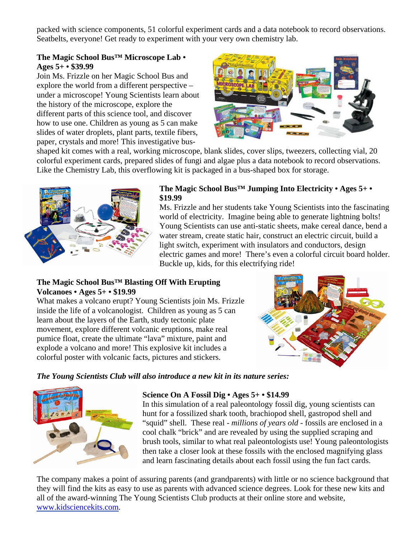packed with science components, 51 colorful experiment cards and a data notebook to record observations. Seatbelts, everyone! Get ready to experiment with your very own chemistry lab.

## **The Magic School Bus™ Microscope Lab • Ages 5+ • \$39.99**

Join Ms. Frizzle on her Magic School Bus and explore the world from a different perspective – under a microscope! Young Scientists learn about the history of the microscope, explore the different parts of this science tool, and discover how to use one. Children as young as 5 can make slides of water droplets, plant parts, textile fibers, paper, crystals and more! This investigative bus-



shaped kit comes with a real, working microscope, blank slides, cover slips, tweezers, collecting vial, 20 colorful experiment cards, prepared slides of fungi and algae plus a data notebook to record observations. Like the Chemistry Lab, this overflowing kit is packaged in a bus-shaped box for storage.



#### **The Magic School Bus™ Jumping Into Electricity • Ages 5+ • \$19.99**

Ms. Frizzle and her students take Young Scientists into the fascinating world of electricity. Imagine being able to generate lightning bolts! Young Scientists can use anti-static sheets, make cereal dance, bend a water stream, create static hair, construct an electric circuit, build a light switch, experiment with insulators and conductors, design electric games and more! There's even a colorful circuit board holder. Buckle up, kids, for this electrifying ride!

# **The Magic School Bus™ Blasting Off With Erupting Volcanoes • Ages 5+ • \$19.99**

What makes a volcano erupt? Young Scientists join Ms. Frizzle inside the life of a volcanologist. Children as young as 5 can learn about the layers of the Earth, study tectonic plate movement, explore different volcanic eruptions, make real pumice float, create the ultimate "lava" mixture, paint and explode a volcano and more! This explosive kit includes a colorful poster with volcanic facts, pictures and stickers.



*The Young Scientists Club will also introduce a new kit in its nature series:* 



#### **Science On A Fossil Dig • Ages 5+ • \$14.99**

In this simulation of a real paleontology fossil dig, young scientists can hunt for a fossilized shark tooth, brachiopod shell, gastropod shell and "squid" shell. These real - *millions of years old* - fossils are enclosed in a cool chalk "brick" and are revealed by using the supplied scraping and brush tools, similar to what real paleontologists use! Young paleontologists then take a closer look at these fossils with the enclosed magnifying glass and learn fascinating details about each fossil using the fun fact cards.

The company makes a point of assuring parents (and grandparents) with little or no science background that they will find the kits as easy to use as parents with advanced science degrees. Look for these new kits and all of the award-winning The Young Scientists Club products at their online store and website, www.kidsciencekits.com.